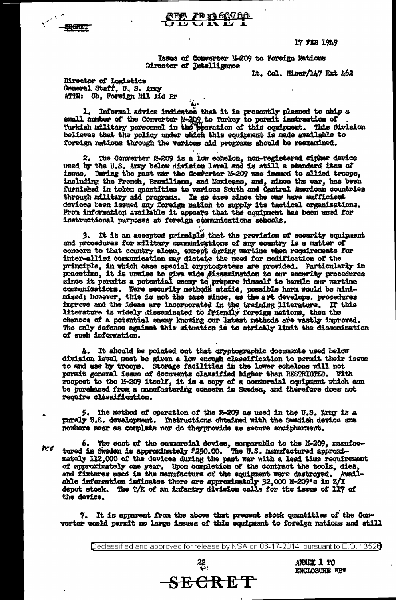17 FEB 1949

Issue of Converter N-209 to Foreign Nations Director of Intelligence

It. Col. Hiser/147 Ext 462

Director of logistics General Staff, U. S. Army ATTN: Ch. Foreign Mil Aid Br

**ARGATOT** 

1. Informal advice indicates that it is presently planned to ship a small momber of the Converter 14-209 to Turkey to permit instruction of<br>Turkish military personnel in the pperation of this equipment. This Division<br>believes that the policy under which this equipment is made available to foreign nations through the various aid programs should be reexamined.

**REE TO 1260700** 

2. The Converter M-209 is a low echelon, non-registered cipher device used by the U.S. Army below division level and is still a standard item of issue. During the past war the Converter M-209 was issued to allied troops. including the French, Brazilians, and Mexicans, and, since the war, has been furnished in token quantities to various South and Central American countries through military aid programs. In no case since the war have sufficient devices been issued any foreign nation to supply its tactical organizations. From information available it appears that the equipment has been used for instructional purposes at foreign communications schools.

It is an accepted principle that the provision of security equipment and procedures for military communications of any country is a matter of concern to that country alone, except during wartime when requirements for inter-allied communication may dictate the need for modification of the principle, in which case special cryptosystems are provided. Particularly in peacetime, it is unwise to give wide dissemination to our security procedures since it permits a potential enemy to prepare himself to handle our wartine communications. Were security methods static, possible harm would be mini-<br>mised; however, this is not the case since, as the art develops, proced literature is widely disseminated to friendly foreign nations, then the chances of a potential enemy knowing our latest methods are vastly improved. The only defense against this situation is to strictly limit the dissemination of such information.

4. It should be pointed out that cryptographic documents used below division level must be given a low enough classification to permit their issue to and use by troops. Storage facilities in the lower echelons will not permit general issue of documents classified higher than RESTRICTED. With respect to the M-209 itself, it is a copy of a commercial equipment which can be purchased from a manufacturing concern in Sweden, and therefore does not require classification.

5. The method of operation of the N-209 as used in the U.S. Army is a purely U.S. development. Instructions obtained with the Swedish device are nowhere near as complete nor do they provide as secure encipherment.

6. The cost of the commercial device, comparable to the 1-209, manufactured in Sweden is approximately  $250.00$ . The U.S. manufactured approxih-d mately 112,000 of the devices during the past war with a lead time requirement of approximately one year. Upon completion of the contract the tools, dies, and fixtures used in the manufacture of the equipment were destroyed. Available information indicates there are approximately 32,000 M-209's in Z/I depot stock. The T/E of an infantry division calls for the issue of 117 of the device.

7. It is apparent from the above that present stock quantities of the Converter would permit no large issues of this equipment to foreign nations and still

Declassified and approved for release by NSA on 06-17-2014 pursuant to E.O. 13526

**SECRET** 

ANNEX 1 TO ENCLOSURE "B"